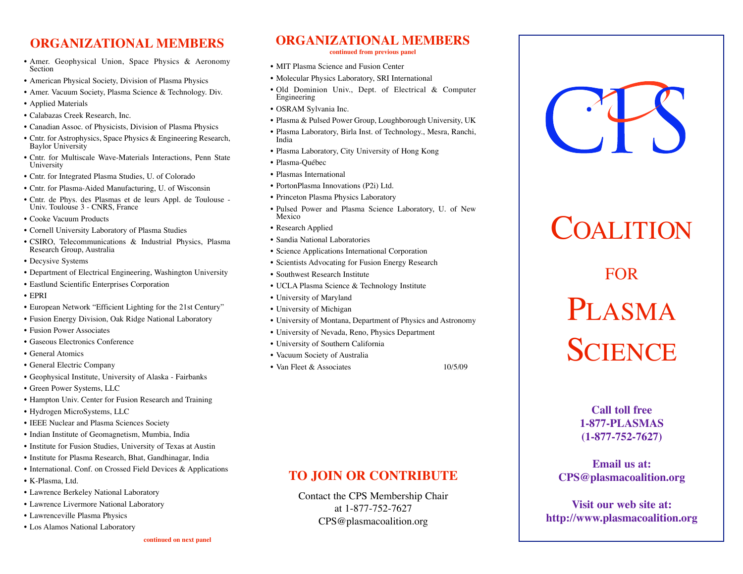#### **ORGANIZATIONAL MEMBERS**

- Amer. Geophysical Union, Space Physics & Aeronomy Section
- American Physical Society, Division of Plasma Physics
- Amer. Vacuum Society, Plasma Science & Technology. Div.
- Applied Materials
- Calabazas Creek Research, Inc.
- Canadian Assoc. of Physicists, Division of Plasma Physics
- Cntr. for Astrophysics, Space Physics & Engineering Research, Baylor University
- Cntr. for Multiscale Wave-Materials Interactions, Penn State University
- Cntr. for Integrated Plasma Studies, U. of Colorado
- Cntr. for Plasma-Aided Manufacturing, U. of Wisconsin
- Cntr. de Phys. des Plasmas et de leurs Appl. de Toulouse Univ. Toulouse 3 CNRS, France
- Cooke Vacuum Products
- Cornell University Laboratory of Plasma Studies
- CSIRO, Telecommunications & Industrial Physics, Plasma Research Group, Australia
- Decysive Systems
- Department of Electrical Engineering, Washington University
- Eastlund Scientific Enterprises Corporation
- EPRI
- European Network "Efficient Lighting for the 21st Century"
- Fusion Energy Division, Oak Ridge National Laboratory
- Fusion Power Associates
- Gaseous Electronics Conference
- General Atomics
- General Electric Company
- Geophysical Institute, University of Alaska Fairbanks
- Green Power Systems, LLC
- Hampton Univ. Center for Fusion Research and Training
- Hydrogen MicroSystems, LLC
- IEEE Nuclear and Plasma Sciences Society
- Indian Institute of Geomagnetism, Mumbia, India
- Institute for Fusion Studies, University of Texas at Austin
- Institute for Plasma Research, Bhat, Gandhinagar, India
- International. Conf. on Crossed Field Devices & Applications
- K-Plasma, Ltd.
- Lawrence Berkeley National Laboratory
- Lawrence Livermore National Laboratory
- Lawrenceville Plasma Physics
- Los Alamos National Laboratory

**continued from previous panel**

- MIT Plasma Science and Fusion Center • Molecular Physics Laboratory, SRI International
- Old Dominion Univ., Dept. of Electrical & Computer Engineering
- OSRAM Sylvania Inc.
- Plasma & Pulsed Power Group, Loughborough University, UK
- Plasma Laboratory, Birla Inst. of Technology., Mesra, Ranchi, India
- Plasma Laboratory, City University of Hong Kong
- Plasma-Québec
- Plasmas International
- PortonPlasma Innovations (P2i) Ltd.
- Princeton Plasma Physics Laboratory
- Pulsed Power and Plasma Science Laboratory, U. of New Mexico
- Research Applied
- Sandia National Laboratories
- Science Applications International Corporation
- Scientists Advocating for Fusion Energy Research
- Southwest Research Institute
- UCLA Plasma Science & Technology Institute
- University of Maryland
- University of Michigan
- University of Montana, Department of Physics and Astronomy
- University of Nevada, Reno, Physics Department
- University of Southern California
- Vacuum Society of Australia
- Van Fleet & Associates 10/5/09

#### **TO JOIN OR CONTRIBUTE**

Contact the CPS Membership Chair at 1-877-752-7627 CPS@plasmacoalition.org



## COALITION

FOR

# PLASMA **SCIENCE**

#### **Call toll free 1-877-PLASMAS (1-877-752-7627)**

**Email us at: CPS@plasmacoalition.org**

**Visit our web site at: http://www.plasmacoalition.org**